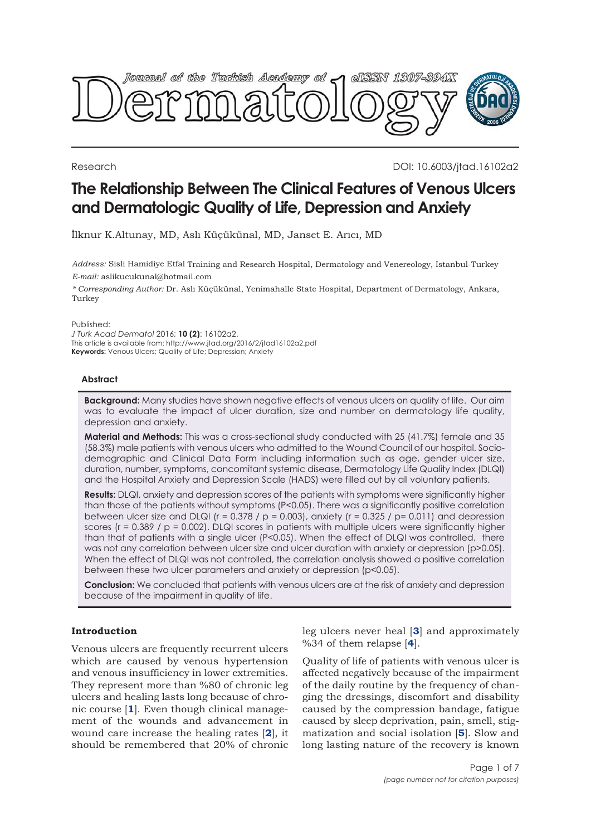

Research DOI: 10.6003/jtad.16102a2

# **The Relationship Between The Clinical Features of Venous Ulcers and Dermatologic Quality of Life, Depression and Anxiety**

İlknur K.Altunay, MD, Aslı Küçükünal, MD, Janset E. Arıcı, MD

*Address:* Sisli Hamidiye Etfal Training and Research Hospital, Dermatology and Venereology, Istanbul-Turkey *E-mail:* aslikucukunal@hotmail.com

*\* Corresponding Author:* Dr. Aslı Küçükünal, Yenimahalle State Hospital, Department of Dermatology, Ankara, Turkey

Published:

*J Turk Acad Dermatol* 2016; **10 (2)**: 16102a2. This article is available from: http://www.jtad.org/2016/2/jtad16102a2.pdf **Keywords:** Venous Ulcers; Quality of Life; Depression; Anxiety

### **Abstract**

**Background:** Many studies have shown negative effects of venous ulcers on quality of life. Our aim was to evaluate the impact of ulcer duration, size and number on dermatology life quality, depression and anxiety.

**Material and Methods:** This was a cross-sectional study conducted with 25 (41.7%) female and 35 (58.3%) male patients with venous ulcers who admitted to the Wound Council of our hospital. Sociodemographic and Clinical Data Form including information such as age, gender ulcer size, duration, number, symptoms, concomitant systemic disease, Dermatology Life Quality Index (DLQI) and the Hospital Anxiety and Depression Scale (HADS) were filled out by all voluntary patients.

**Results:** DLQI, anxiety and depression scores of the patients with symptoms were significantly higher than those of the patients without symptoms (P<0.05). There was a significantly positive correlation between ulcer size and DLQI ( $r = 0.378 / p = 0.003$ ), anxiety ( $r = 0.325 / p = 0.011$ ) and depression scores ( $r = 0.389$  /  $p = 0.002$ ). DLQI scores in patients with multiple ulcers were significantly higher than that of patients with a single ulcer (P<0.05). When the effect of DLQI was controlled, there was not any correlation between ulcer size and ulcer duration with anxiety or depression (p>0.05). When the effect of DLQI was not controlled, the correlation analysis showed a positive correlation between these two ulcer parameters and anxiety or depression (p<0.05).

**Conclusion:** We concluded that patients with venous ulcers are at the risk of anxiety and depression because of the impairment in quality of life.

# **Introduction**

Venous ulcers are frequently recurrent ulcers which are caused by venous hypertension and venous insufficiency in lower extremities. They represent more than %80 of chronic leg ulcers and healing lasts long because of chronic course [**[1](#page-5-0)**]. Even though clinical management of the wounds and advancement in wound care increase the healing rates [**[2](#page-5-0)**], it should be remembered that 20% of chronic

leg ulcers never heal [**[3](#page-5-0)**] and approximately %34 of them relapse [**[4](#page-5-0)**].

Quality of life of patients with venous ulcer is affected negatively because of the impairment of the daily routine by the frequency of changing the dressings, discomfort and disability caused by the compression bandage, fatigue caused by sleep deprivation, pain, smell, stigmatization and social isolation [**[5](#page-5-0)**]. Slow and long lasting nature of the recovery is known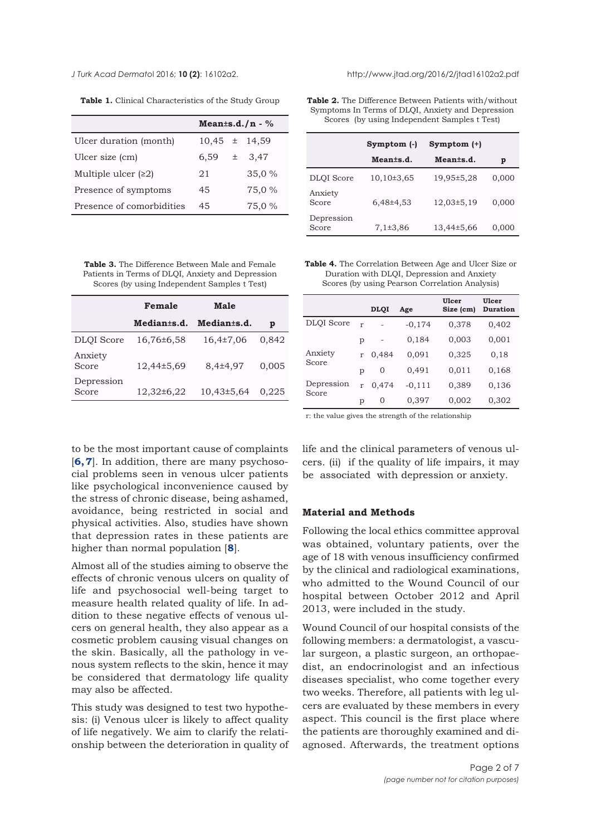<span id="page-1-0"></span>*J Turk Acad Dermato*l 2016; **10 (2)**: 16102a2. http://www.jtad.org/2016/2/jtad16102a2.pdf

|  |  |  | Table 1. Clinical Characteristics of the Study Group |  |  |  |  |
|--|--|--|------------------------------------------------------|--|--|--|--|
|--|--|--|------------------------------------------------------|--|--|--|--|

|                           | Mean $\pm$ s.d./n - % |               |  |
|---------------------------|-----------------------|---------------|--|
| Ulcer duration (month)    | $10,45 \pm 14,59$     |               |  |
| Ulcer size (cm)           | 6,59                  | 3,47<br>$\pm$ |  |
| Multiple ulcer $(22)$     | 21                    | 35,0 %        |  |
| Presence of symptoms      | 45                    | 75,0 %        |  |
| Presence of comorbidities | 45                    | 75,0 %        |  |

**Table 3.** The Difference Between Male and Female Patients in Terms of DLQI, Anxiety and Depression Scores (by using Independent Samples t Test)

|                     | Female                  | Male                    |       |
|---------------------|-------------------------|-------------------------|-------|
|                     | Median <sub>ts.d.</sub> | Median <sub>ts.d.</sub> | p     |
| <b>DLOI</b> Score   | 16,76±6,58              | $16,4\pm7,06$           | 0,842 |
| Anxiety<br>Score    | 12,44±5,69              | 8,4±4,97                | 0.005 |
| Depression<br>Score | 12,32±6,22              | 10,43±5,64              | 0.225 |

**Table 2.** The Difference Between Patients with/without Symptoms In Terms of DLQI, Anxiety and Depression Scores (by using Independent Samples t Test)

|                     | Symptom (-)    | Symptom (+) |       |
|---------------------|----------------|-------------|-------|
|                     | Meants.d.      | Meants.d.   | p     |
| <b>DLOI</b> Score   | $10,10\pm3,65$ | 19,95±5,28  | 0,000 |
| Anxiety<br>Score    | 6,48±4,53      | 12,03±5,19  | 0,000 |
| Depression<br>Score | 7,1±3,86       | 13,44±5,66  | 0,000 |

**Table 4.** The Correlation Between Age and Ulcer Size or Duration with DLQI, Depression and Anxiety Scores (by using Pearson Correlation Analysis)

|                     |   | <b>DLOI</b> | Age      | Ulcer<br>Size (cm) | Ulcer<br><b>Duration</b> |
|---------------------|---|-------------|----------|--------------------|--------------------------|
| <b>DLQI</b> Score   | r |             | $-0,174$ | 0,378              | 0,402                    |
|                     | р |             | 0,184    | 0,003              | 0,001                    |
| Anxiety<br>Score    | r | 0.484       | 0,091    | 0,325              | 0,18                     |
|                     | р | 0           | 0,491    | 0,011              | 0,168                    |
| Depression<br>Score | r | 0,474       | $-0,111$ | 0,389              | 0,136                    |
|                     | р | 0           | 0,397    | 0,002              | 0,302                    |

r: the value gives the strength of the relationship

to be the most important cause of complaints [**[6, 7](#page-5-0)**]. In addition, there are many psychosocial problems seen in venous ulcer patients like psychological inconvenience caused by the stress of chronic disease, being ashamed, avoidance, being restricted in social and physical activities. Also, studies have shown that depression rates in these patients are higher than normal population [**[8](#page-5-0)**].

Almost all of the studies aiming to observe the effects of chronic venous ulcers on quality of life and psychosocial well-being target to measure health related quality of life. In addition to these negative effects of venous ulcers on general health, they also appear as a cosmetic problem causing visual changes on the skin. Basically, all the pathology in venous system reflects to the skin, hence it may be considered that dermatology life quality may also be affected.

This study was designed to test two hypothesis: (i) Venous ulcer is likely to affect quality of life negatively. We aim to clarify the relationship between the deterioration in quality of life and the clinical parameters of venous ulcers. (ii) if the quality of life impairs, it may be associated with depression or anxiety.

### **Material and Methods**

Following the local ethics committee approval was obtained, voluntary patients, over the age of 18 with venous insufficiency confirmed by the clinical and radiological examinations, who admitted to the Wound Council of our hospital between October 2012 and April 2013, were included in the study.

Wound Council of our hospital consists of the following members: a dermatologist, a vascular surgeon, a plastic surgeon, an orthopaedist, an endocrinologist and an infectious diseases specialist, who come together every two weeks. Therefore, all patients with leg ulcers are evaluated by these members in every aspect. This council is the first place where the patients are thoroughly examined and diagnosed. Afterwards, the treatment options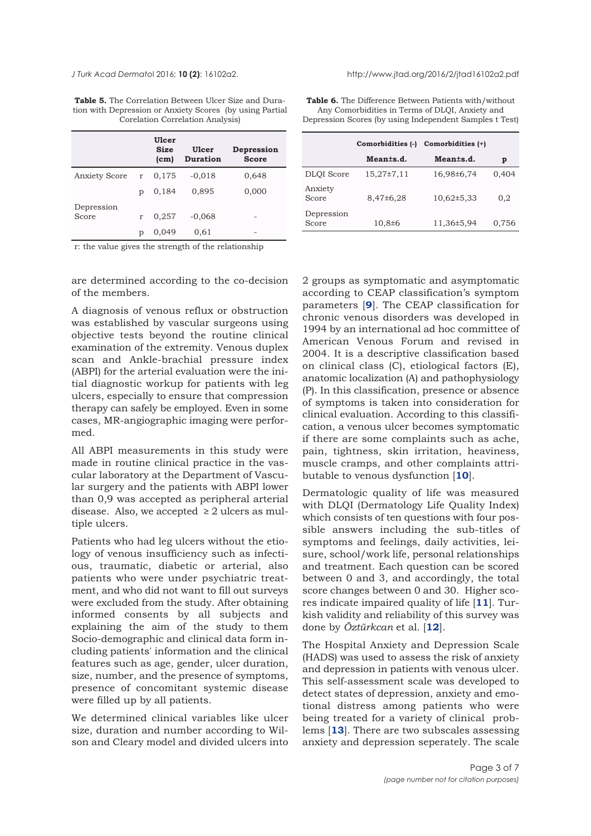<span id="page-2-0"></span>

| <b>Table 5.</b> The Correlation Between Ulcer Size and Dura- |
|--------------------------------------------------------------|
| tion with Depression or Anxiety Scores (by using Partial     |
| Corelation Correlation Analysis)                             |

|               |   | Ulcer<br><b>Size</b><br>(c <sub>m</sub> ) | <b>Ulcer</b><br><b>Duration</b> | Depression<br><b>Score</b> |
|---------------|---|-------------------------------------------|---------------------------------|----------------------------|
| Anxiety Score | r | 0,175                                     | $-0,018$                        | 0,648                      |
|               | p | 0,184                                     | 0,895                           | 0,000                      |
| Depression    |   |                                           |                                 |                            |
| Score         | r | 0,257                                     | $-0,068$                        |                            |
|               | р | 0,049                                     | 0.61                            |                            |

r: the value gives the strength of the relationship

are determined according to the co-decision of the members.

A diagnosis of venous reflux or obstruction was established by vascular surgeons using objective tests beyond the routine clinical examination of the extremity. Venous duplex scan and Ankle-brachial pressure index (ABPI) for the arterial evaluation were the initial diagnostic workup for patients with leg ulcers, especially to ensure that compression therapy can safely be employed. Even in some cases, MR-angiographic imaging were performed.

All ABPI measurements in this study were made in routine clinical practice in the vascular laboratory at the Department of Vascular surgery and the patients with ABPI lower than 0,9 was accepted as peripheral arterial disease. Also, we accepted  $\geq 2$  ulcers as multiple ulcers.

Patients who had leg ulcers without the etiology of venous insufficiency such as infectious, traumatic, diabetic or arterial, also patients who were under psychiatric treatment, and who did not want to fill out surveys were excluded from the study. After obtaining informed consents by all subjects and explaining the aim of the study to them Socio-demographic and clinical data form including patients' information and the clinical features such as age, gender, ulcer duration, size, number, and the presence of symptoms, presence of concomitant systemic disease were filled up by all patients.

We determined clinical variables like ulcer size, duration and number according to Wilson and Cleary model and divided ulcers into

**Table 6.** The Difference Between Patients with/without Any Comorbidities in Terms of DLQI, Anxiety and Depression Scores (by using Independent Samples t Test)

|                     | Comorbidities (-) | Comorbidities (+) |       |
|---------------------|-------------------|-------------------|-------|
|                     | Meants.d.         | Meants.d.         | p     |
| <b>DLOI</b> Score   | $15,27\pm7,11$    | 16,98±6,74        | 0,404 |
| Anxiety<br>Score    | $8,47\pm6,28$     | $10,62 \pm 5,33$  | 0,2   |
| Depression<br>Score | $10,8{\pm}6$      | 11,36±5,94        | 0,756 |

2 groups as symptomatic and asymptomatic according to CEAP classification's symptom parameters [**[9](#page-5-0)**]. The CEAP classification for chronic venous disorders was developed in 1994 by an international ad hoc committee of American Venous Forum and revised in 2004. It is a descriptive classification based on clinical class (C), etiological factors (E), anatomic localization (A) and pathophysiology (P). In this classification, presence or absence of symptoms is taken into consideration for clinical evaluation. According to this classification, a venous ulcer becomes symptomatic if there are some complaints such as ache, pain, tightness, skin irritation, heaviness, muscle cramps, and other complaints attributable to venous dysfunction [**[10](#page-5-0)**].

Dermatologic quality of life was measured with DLQI (Dermatology Life Quality Index) which consists of ten questions with four possible answers including the sub-titles of symptoms and feelings, daily activities, leisure, school/work life, personal relationships and treatment. Each question can be scored between 0 and 3, and accordingly, the total score changes between 0 and 30. Higher scores indicate impaired quality of life [**[11](#page-6-0)**]. Turkish validity and reliability of this survey was done by *Öztürkcan* et al. [**[12](#page-6-0)**].

The Hospital Anxiety and Depression Scale (HADS) was used to assess the risk of anxiety and depression in patients with venous ulcer. This self-assessment scale was developed to detect states of depression, anxiety and emotional distress among patients who were being treated for a variety of clinical problems [**[13](#page-6-0)**]. There are two subscales assessing anxiety and depression seperately. The scale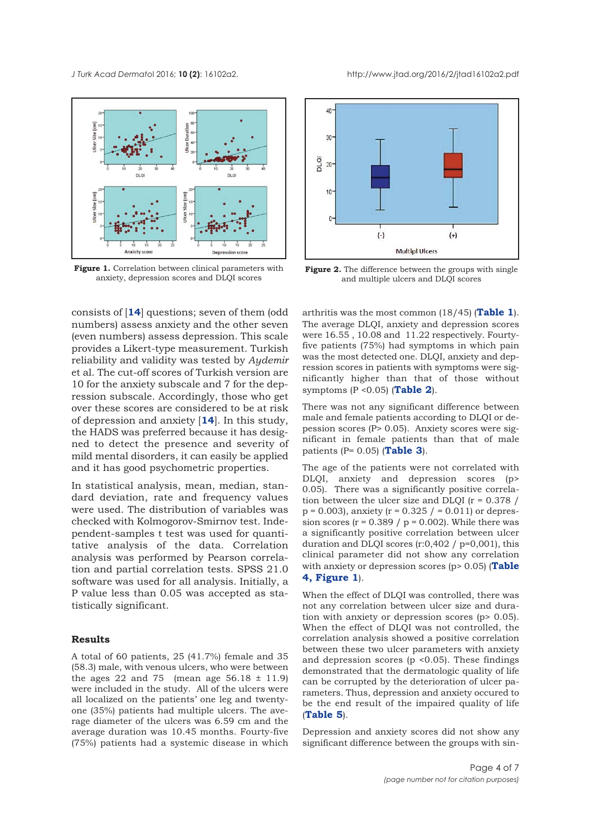<span id="page-3-0"></span>

**Figure 1.** Correlation between clinical parameters with anxiety, depression scores and DLQI scores

consists of [**[14](#page-6-0)**] questions; seven of them (odd numbers) assess anxiety and the other seven (even numbers) assess depression. This scale provides a Likert-type measurement. Turkish reliability and validity was tested by *Aydemir* et al. The cut-off scores of Turkish version are 10 for the anxiety subscale and 7 for the depression subscale. Accordingly, those who get over these scores are considered to be at risk of depression and anxiety [**[14](#page-6-0)**]. In this study, the HADS was preferred because it has designed to detect the presence and severity of mild mental disorders, it can easily be applied and it has good psychometric properties.

In statistical analysis, mean, median, standard deviation, rate and frequency values were used. The distribution of variables was checked with Kolmogorov-Smirnov test. Independent-samples t test was used for quantitative analysis of the data. Correlation analysis was performed by Pearson correlation and partial correlation tests. SPSS 21.0 software was used for all analysis. Initially, a P value less than 0.05 was accepted as statistically significant.

### **Results**

A total of 60 patients, 25 (41.7%) female and 35 (58.3) male, with venous ulcers, who were between the ages 22 and 75 (mean age  $56.18 \pm 11.9$ ) were included in the study. All of the ulcers were all localized on the patients' one leg and twentyone (35%) patients had multiple ulcers. The average diameter of the ulcers was 6.59 cm and the average duration was 10.45 months. Fourty-five (75%) patients had a systemic disease in which



**Figure 2.** The difference between the groups with single and multiple ulcers and DLQI scores

arthritis was the most common (18/45) (**[Table 1](#page-1-0)**). The average DLQI, anxiety and depression scores were 16.55 , 10.08 and 11.22 respectively. Fourtyfive patients (75%) had symptoms in which pain was the most detected one. DLQI, anxiety and depression scores in patients with symptoms were significantly higher than that of those without symptoms (P <0.05) (**[Table 2](#page-1-0)**).

There was not any significant difference between male and female patients according to DLQI or depession scores (P> 0.05). Anxiety scores were significant in female patients than that of male patients (P= 0.05) (**[Table 3](#page-1-0)**).

The age of the patients were not correlated with DLQI, anxiety and depression scores (p> 0.05). There was a significantly positive correlation between the ulcer size and DLQI  $(r = 0.378)$  $p = 0.003$ , anxiety (r = 0.325 / = 0.011) or depression scores  $(r = 0.389 / p = 0.002)$ . While there was a significantly positive correlation between ulcer duration and DLQI scores  $(r:0,402 / p=0,001)$ , this clinical parameter did not show any correlation [with anxiety or depression scores \(p> 0.05\) \(](#page-1-0)**[Table](#page-1-0) 4, Figure 1**).

When the effect of DLQI was controlled, there was not any correlation between ulcer size and duration with anxiety or depression scores (p> 0.05). When the effect of DLQI was not controlled, the correlation analysis showed a positive correlation between these two ulcer parameters with anxiety and depression scores ( $p \le 0.05$ ). These findings demonstrated that the dermatologic quality of life can be corrupted by the deterioration of ulcer parameters. Thus, depression and anxiety occured to be the end result of the impaired quality of life (**[Table 5](#page-2-0)**).

Depression and anxiety scores did not show any significant difference between the groups with sin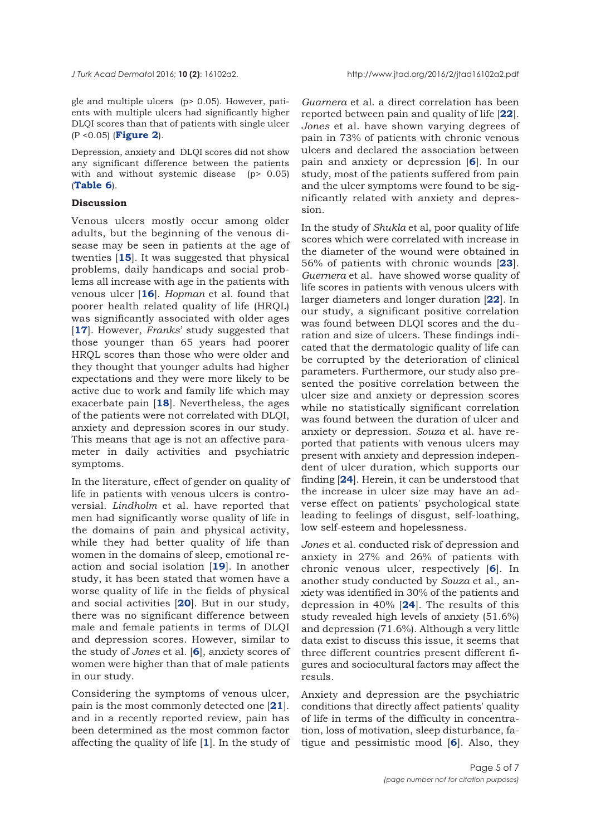gle and multiple ulcers (p> 0.05). However, patients with multiple ulcers had significantly higher DLQI scores than that of patients with single ulcer (P <0.05) (**[Figure 2](#page-3-0)**).

Depression, anxiety and DLQI scores did not show any significant difference between the patients with and without systemic disease (p> 0.05) (**[Table 6](#page-2-0)**).

# **Discussion**

Venous ulcers mostly occur among older adults, but the beginning of the venous disease may be seen in patients at the age of twenties [**[15](#page-6-0)**]. It was suggested that physical problems, daily handicaps and social problems all increase with age in the patients with venous ulcer [**[16](#page-6-0)**]. *Hopman* et al. found that poorer health related quality of life (HRQL) was significantly associated with older ages [**[17](#page-6-0)**]. However, *Franks*' study suggested that those younger than 65 years had poorer HRQL scores than those who were older and they thought that younger adults had higher expectations and they were more likely to be active due to work and family life which may exacerbate pain [**[18](#page-6-0)**]. Nevertheless, the ages of the patients were not correlated with DLQI, anxiety and depression scores in our study. This means that age is not an affective parameter in daily activities and psychiatric symptoms.

In the literature, effect of gender on quality of life in patients with venous ulcers is controversial. *Lindholm* et al. have reported that men had significantly worse quality of life in the domains of pain and physical activity, while they had better quality of life than women in the domains of sleep, emotional reaction and social isolation [**[19](#page-6-0)**]. In another study, it has been stated that women have a worse quality of life in the fields of physical and social activities [**[20](#page-6-0)**]. But in our study, there was no significant difference between male and female patients in terms of DLQI and depression scores. However, similar to the study of *Jones* et al. [**[6](#page-5-0)**], anxiety scores of women were higher than that of male patients in our study.

Considering the symptoms of venous ulcer, pain is the most commonly detected one [**[21](#page-6-0)**]. and in a recently reported review, pain has been determined as the most common factor affecting the quality of life [**[1](#page-5-0)**]. In the study of *Guarnera* et al. a direct correlation has been reported between pain and quality of life [**[22](#page-6-0)**]. *Jones* et al. have shown varying degrees of pain in 73% of patients with chronic venous ulcers and declared the association between pain and anxiety or depression [**[6](#page-5-0)**]. In our study, most of the patients suffered from pain and the ulcer symptoms were found to be significantly related with anxiety and depression.

In the study of *Shukla* et al, poor quality of life scores which were correlated with increase in the diameter of the wound were obtained in 56% of patients with chronic wounds [**[23](#page-6-0)**]. *Guernera* et al. have showed worse quality of life scores in patients with venous ulcers with larger diameters and longer duration [**[22](#page-6-0)**]. In our study, a significant positive correlation was found between DLQI scores and the duration and size of ulcers. These findings indicated that the dermatologic quality of life can be corrupted by the deterioration of clinical parameters. Furthermore, our study also presented the positive correlation between the ulcer size and anxiety or depression scores while no statistically significant correlation was found between the duration of ulcer and anxiety or depression. *Souza* et al. have reported that patients with venous ulcers may present with anxiety and depression independent of ulcer duration, which supports our finding [**[24](#page-6-0)**]. Herein, it can be understood that the increase in ulcer size may have an adverse effect on patients' psychological state leading to feelings of disgust, self-loathing, low self-esteem and hopelessness.

*Jones* et al. conducted risk of depression and anxiety in 27% and 26% of patients with chronic venous ulcer, respectively [**[6](#page-5-0)**]. In another study conducted by *Souza* et al., anxiety was identified in 30% of the patients and depression in 40% [**[24](#page-6-0)**]. The results of this study revealed high levels of anxiety (51.6%) and depression (71.6%). Although a very little data exist to discuss this issue, it seems that three different countries present different figures and sociocultural factors may affect the resuls.

Anxiety and depression are the psychiatric conditions that directly affect patients' quality of life in terms of the difficulty in concentration, loss of motivation, sleep disturbance, fatigue and pessimistic mood [**[6](#page-5-0)**]. Also, they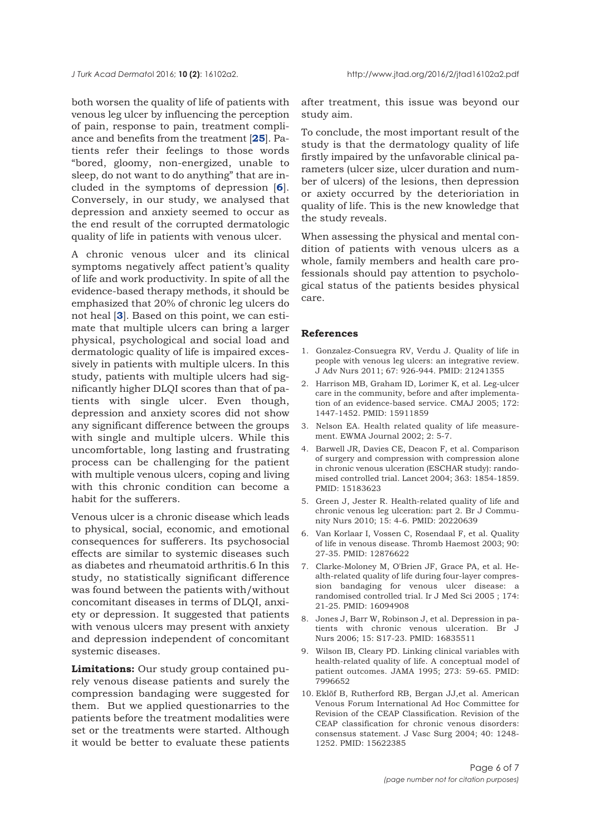<span id="page-5-0"></span>both worsen the quality of life of patients with venous leg ulcer by influencing the perception of pain, response to pain, treatment compliance and benefits from the treatment [**[25](#page-6-0)**]. Patients refer their feelings to those words "bored, gloomy, non-energized, unable to sleep, do not want to do anything" that are included in the symptoms of depression [**6**]. Conversely, in our study, we analysed that depression and anxiety seemed to occur as the end result of the corrupted dermatologic quality of life in patients with venous ulcer.

A chronic venous ulcer and its clinical symptoms negatively affect patient's quality of life and work productivity. In spite of all the evidence-based therapy methods, it should be emphasized that 20% of chronic leg ulcers do not heal [**3**]. Based on this point, we can estimate that multiple ulcers can bring a larger physical, psychological and social load and dermatologic quality of life is impaired excessively in patients with multiple ulcers. In this study, patients with multiple ulcers had significantly higher DLQI scores than that of patients with single ulcer. Even though, depression and anxiety scores did not show any significant difference between the groups with single and multiple ulcers. While this uncomfortable, long lasting and frustrating process can be challenging for the patient with multiple venous ulcers, coping and living with this chronic condition can become a habit for the sufferers.

Venous ulcer is a chronic disease which leads to physical, social, economic, and emotional consequences for sufferers. Its psychosocial effects are similar to systemic diseases such as diabetes and rheumatoid arthritis.6 In this study, no statistically significant difference was found between the patients with/without concomitant diseases in terms of DLQI, anxiety or depression. It suggested that patients with venous ulcers may present with anxiety and depression independent of concomitant systemic diseases.

**Limitations:** Our study group contained purely venous disease patients and surely the compression bandaging were suggested for them. But we applied questionarries to the patients before the treatment modalities were set or the treatments were started. Although it would be better to evaluate these patients after treatment, this issue was beyond our study aim.

To conclude, the most important result of the study is that the dermatology quality of life firstly impaired by the unfavorable clinical parameters (ulcer size, ulcer duration and number of ulcers) of the lesions, then depression or axiety occurred by the deterioriation in quality of life. This is the new knowledge that the study reveals.

When assessing the physical and mental condition of patients with venous ulcers as a whole, family members and health care professionals should pay attention to psychological status of the patients besides physical care.

#### **References**

- 1. Gonzalez-Consuegra RV, Verdu J. Quality of life in people with venous leg ulcers: an integrative review. J Adv Nurs 2011; 67: 926-944. PMID: 21241355
- 2. Harrison MB, Graham ID, Lorimer K, et al. Leg-ulcer care in the community, before and after implementation of an evidence-based service. CMAJ 2005; 172: 1447-1452. PMID: 15911859
- 3. Nelson EA. Health related quality of life measurement. EWMA Journal 2002; 2: 5-7.
- 4. Barwell JR, Davies CE, Deacon F, et al. Comparison of surgery and compression with compression alone in chronic venous ulceration (ESCHAR study): randomised controlled trial. Lancet 2004; 363: 1854-1859. PMID: 15183623
- 5. Green J, Jester R. Health-related quality of life and chronic venous leg ulceration: part 2. Br J Community Nurs 2010; 15: 4-6. PMID: 20220639
- 6. Van Korlaar I, Vossen C, Rosendaal F, et al. Quality of life in venous disease. Thromb Haemost 2003; 90: 27-35. PMID: 12876622
- 7. Clarke-Moloney M, O'Brien JF, Grace PA, et al. Health-related quality of life during four-layer compression bandaging for venous ulcer disease: a randomised controlled trial. Ir J Med Sci 2005 ; 174: 21-25. PMID: 16094908
- 8. Jones J, Barr W, Robinson J, et al. Depression in patients with chronic venous ulceration. Br J Nurs 2006; 15: S17-23. PMID: 16835511
- 9. Wilson IB, Cleary PD. Linking clinical variables with health-related quality of life. A conceptual model of patient outcomes. JAMA 1995; 273: 59-65. PMID: 7996652
- 10. Eklöf B, Rutherford RB, Bergan JJ,et al. American Venous Forum International Ad Hoc Committee for Revision of the CEAP Classification. Revision of the CEAP classification for chronic venous disorders: consensus statement. J Vasc Surg 2004; 40: 1248- 1252. PMID: 15622385